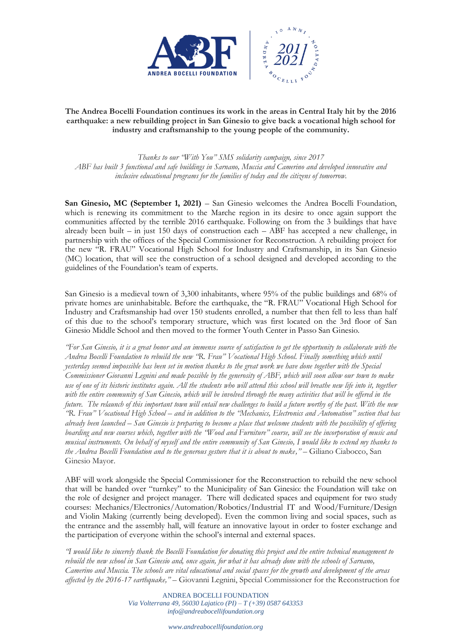

## **The Andrea Bocelli Foundation continues its work in the areas in Central Italy hit by the 2016 earthquake: a new rebuilding project in San Ginesio to give back a vocational high school for industry and craftsmanship to the young people of the community.**

*Thanks to our "With You" SMS solidarity campaign, since 2017 ABF has built 3 functional and safe buildings in Sarnano, Muccia and Camerino and developed innovative and inclusive educational programs for the families of today and the citizens of tomorrow.*

**San Ginesio, MC (September 1, 2021)** – San Ginesio welcomes the Andrea Bocelli Foundation, which is renewing its commitment to the Marche region in its desire to once again support the communities affected by the terrible 2016 earthquake. Following on from the 3 buildings that have already been built – in just 150 days of construction each – ABF has accepted a new challenge, in partnership with the offices of the Special Commissioner for Reconstruction. A rebuilding project for the new "R. FRAU" Vocational High School for Industry and Craftsmanship, in its San Ginesio (MC) location, that will see the construction of a school designed and developed according to the guidelines of the Foundation's team of experts.

San Ginesio is a medieval town of 3,300 inhabitants, where 95% of the public buildings and 68% of private homes are uninhabitable. Before the earthquake, the "R. FRAU" Vocational High School for Industry and Craftsmanship had over 150 students enrolled, a number that then fell to less than half of this due to the school's temporary structure, which was first located on the 3rd floor of San Ginesio Middle School and then moved to the former Youth Center in Passo San Ginesio.

*"For San Ginesio, it is a great honor and an immense source of satisfaction to get the opportunity to collaborate with the Andrea Bocelli Foundation to rebuild the new "R. Frau" Vocational High School. Finally something which until yesterday seemed impossible has been set in motion thanks to the great work we have done together with the Special Commissioner Giovanni Legnini and made possible by the generosity of ABF, which will soon allow our town to make use of one of its historic institutes again. All the students who will attend this school will breathe new life into it, together*  with the entire community of San Ginesio, which will be involved through the many activities that will be offered in the *future. The relaunch of this important town will entail new challenges to build a future worthy of the past. With the new "R. Frau" Vocational High School – and in addition to the "Mechanics, Electronics and Automation" section that has already been launched – San Ginesio is preparing to become a place that welcome students with the possibility of offering boarding and new courses which, together with the "Wood and Furniture" course, will see the incorporation of music and musical instruments. On behalf of myself and the entire community of San Ginesio, I would like to extend my thanks to the Andrea Bocelli Foundation and to the generous gesture that it is about to make,"* – Giliano Ciabocco, San Ginesio Mayor.

ABF will work alongside the Special Commissioner for the Reconstruction to rebuild the new school that will be handed over "turnkey" to the Municipality of San Ginesio: the Foundation will take on the role of designer and project manager. There will dedicated spaces and equipment for two study courses: Mechanics/Electronics/Automation/Robotics/Industrial IT and Wood/Furniture/Design and Violin Making (currently being developed). Even the common living and social spaces, such as the entrance and the assembly hall, will feature an innovative layout in order to foster exchange and the participation of everyone within the school's internal and external spaces.

*"I would like to sincerely thank the Bocelli Foundation for donating this project and the entire technical management to rebuild the new school in San Ginesio and, once again, for what it has already done with the schools of Sarnano, Camerino and Muccia. The schools are vital educational and social spaces for the growth and development of the areas affected by the 2016-17 earthquake," –* Giovanni Legnini, Special Commissioner for the Reconstruction for

> ANDREA BOCELLI FOUNDATION *Via Volterrana 49, 56030 Lajatico (PI) – T (+39) 0587 643353 info@andreabocellifoundation.org*